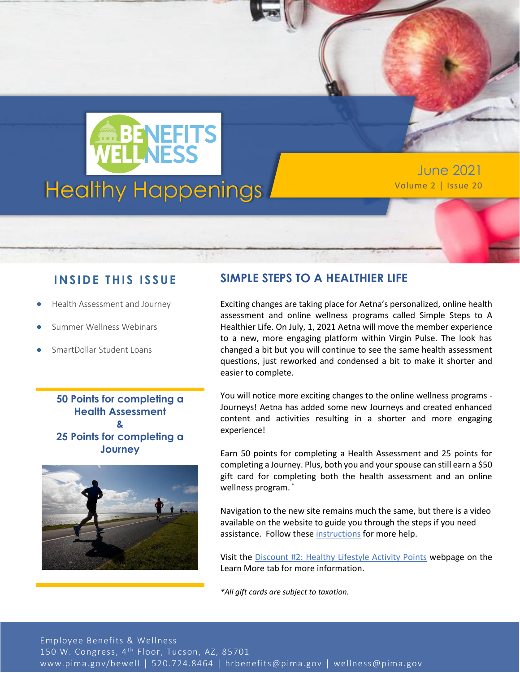

June 2021

#### **INSIDE THIS ISSUE**

- Health Assessment and Journey
- Summer Wellness Webinars
- SmartDollar Student Loans

**50 Points for completing a Health Assessment & 25 Points for completing a Journey**



#### **SIMPLE STEPS TO A HEALTHIER LIFE**

Exciting changes are taking place for Aetna's personalized, online health assessment and online wellness programs called Simple Steps to A Healthier Life. On July, 1, 2021 Aetna will move the member experience to a new, more engaging platform within Virgin Pulse. The look has changed a bit but you will continue to see the same health assessment questions, just reworked and condensed a bit to make it shorter and easier to complete.

You will notice more exciting changes to the online wellness programs - Journeys! Aetna has added some new Journeys and created enhanced content and activities resulting in a shorter and more engaging experience!

Earn 50 points for completing a Health Assessment and 25 points for completing a Journey. Plus, both you and your spouse can still earn a \$50 gift card for completing both the health assessment and an online wellness program. \*

Navigation to the new site remains much the same, but there is a video available on the website to guide you through the steps if you need assistance. Follow these [instructions](https://webcms.pima.gov/UserFiles/Servers/Server_6/File/Government/Human%20Resources/Wellness/Health%20Assesment/Simple%20Steps%20Gift%20Card%20Instructions%202021.pdf) for more help.

Visit the [Discount #2: Healthy Lifestyle Activity Points](http://webcms.pima.gov/cms/One.aspx?portalId=169&pageId=474239) webpage on the Learn More tab for more information.

*\*All gift cards are subject to taxation.*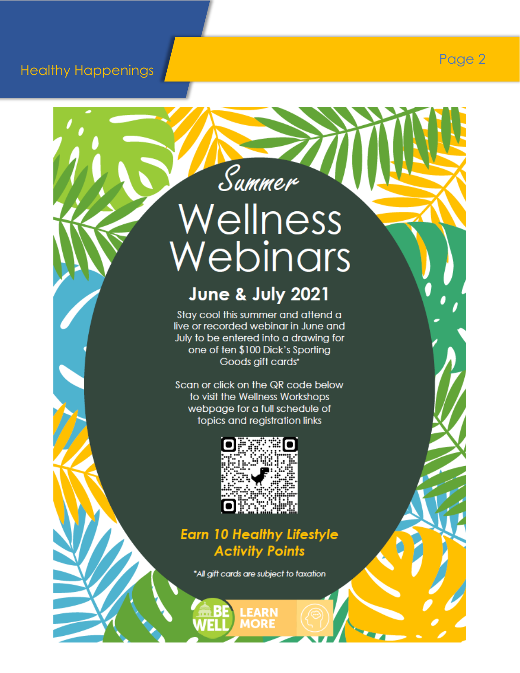## **Healthy Happenings**

# Summer Wellness Webinars

Page 2

# **June & July 2021**

Stay cool this summer and attend a live or recorded webinar in June and July to be entered into a drawing for one of ten \$100 Dick's Sporting Goods gift cards<sup>\*</sup>

Scan or click on the QR code below to visit the Wellness Workshops webpage for a full schedule of topics and registration links



## **Earn 10 Healthy Lifestyle Activity Points**

\*All gift cards are subject to taxation

LEARN